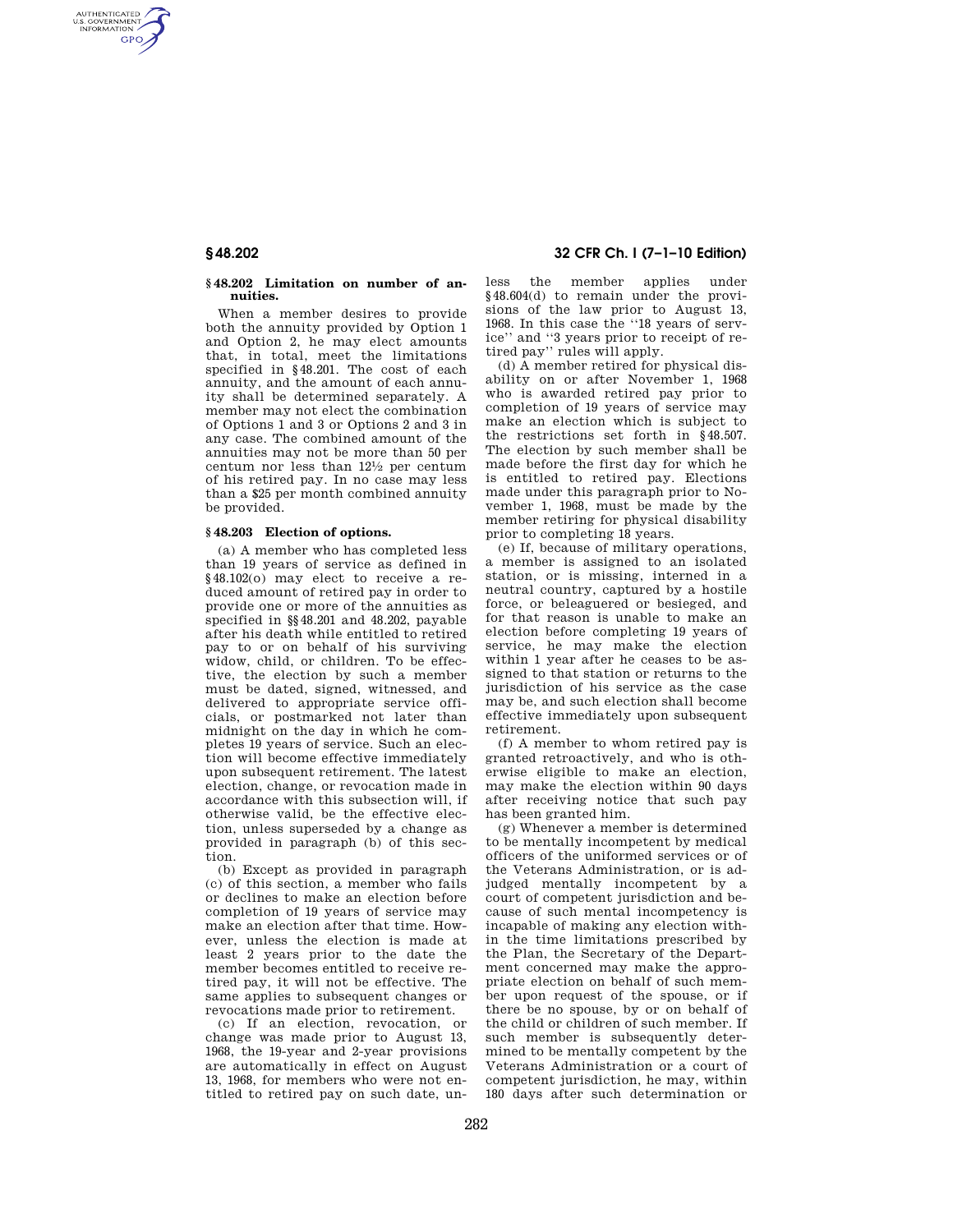AUTHENTICATED<br>U.S. GOVERNMENT<br>INFORMATION **GPO** 

### **§ 48.202 Limitation on number of annuities.**

When a member desires to provide both the annuity provided by Option 1 and Option 2, he may elect amounts that, in total, meet the limitations specified in §48.201. The cost of each annuity, and the amount of each annuity shall be determined separately. A member may not elect the combination of Options 1 and 3 or Options 2 and 3 in any case. The combined amount of the annuities may not be more than 50 per centum nor less than 121⁄2 per centum of his retired pay. In no case may less than a \$25 per month combined annuity be provided.

## **§ 48.203 Election of options.**

(a) A member who has completed less than 19 years of service as defined in §48.102(o) may elect to receive a reduced amount of retired pay in order to provide one or more of the annuities as specified in §§48.201 and 48.202, payable after his death while entitled to retired pay to or on behalf of his surviving widow, child, or children. To be effective, the election by such a member must be dated, signed, witnessed, and delivered to appropriate service officials, or postmarked not later than midnight on the day in which he completes 19 years of service. Such an election will become effective immediately upon subsequent retirement. The latest election, change, or revocation made in accordance with this subsection will, if otherwise valid, be the effective election, unless superseded by a change as provided in paragraph (b) of this section.

(b) Except as provided in paragraph (c) of this section, a member who fails or declines to make an election before completion of 19 years of service may make an election after that time. However, unless the election is made at least 2 years prior to the date the member becomes entitled to receive retired pay, it will not be effective. The same applies to subsequent changes or revocations made prior to retirement.

(c) If an election, revocation, or change was made prior to August 13, 1968, the 19-year and 2-year provisions are automatically in effect on August 13, 1968, for members who were not entitled to retired pay on such date, un-

**§ 48.202 32 CFR Ch. I (7–1–10 Edition)** 

less the member applies under §48.604(d) to remain under the provisions of the law prior to August 13, 1968. In this case the ''18 years of service'' and ''3 years prior to receipt of retired pay'' rules will apply.

(d) A member retired for physical disability on or after November 1, 1968 who is awarded retired pay prior to completion of 19 years of service may make an election which is subject to the restrictions set forth in §48.507. The election by such member shall be made before the first day for which he is entitled to retired pay. Elections made under this paragraph prior to November 1, 1968, must be made by the member retiring for physical disability prior to completing 18 years.

(e) If, because of military operations, a member is assigned to an isolated station, or is missing, interned in a neutral country, captured by a hostile force, or beleaguered or besieged, and for that reason is unable to make an election before completing 19 years of service, he may make the election within 1 year after he ceases to be assigned to that station or returns to the jurisdiction of his service as the case may be, and such election shall become effective immediately upon subsequent retirement.

(f) A member to whom retired pay is granted retroactively, and who is otherwise eligible to make an election, may make the election within 90 days after receiving notice that such pay has been granted him.

(g) Whenever a member is determined to be mentally incompetent by medical officers of the uniformed services or of the Veterans Administration, or is adjudged mentally incompetent by a court of competent jurisdiction and because of such mental incompetency is incapable of making any election within the time limitations prescribed by the Plan, the Secretary of the Department concerned may make the appropriate election on behalf of such member upon request of the spouse, or if there be no spouse, by or on behalf of the child or children of such member. If such member is subsequently determined to be mentally competent by the Veterans Administration or a court of competent jurisdiction, he may, within 180 days after such determination or